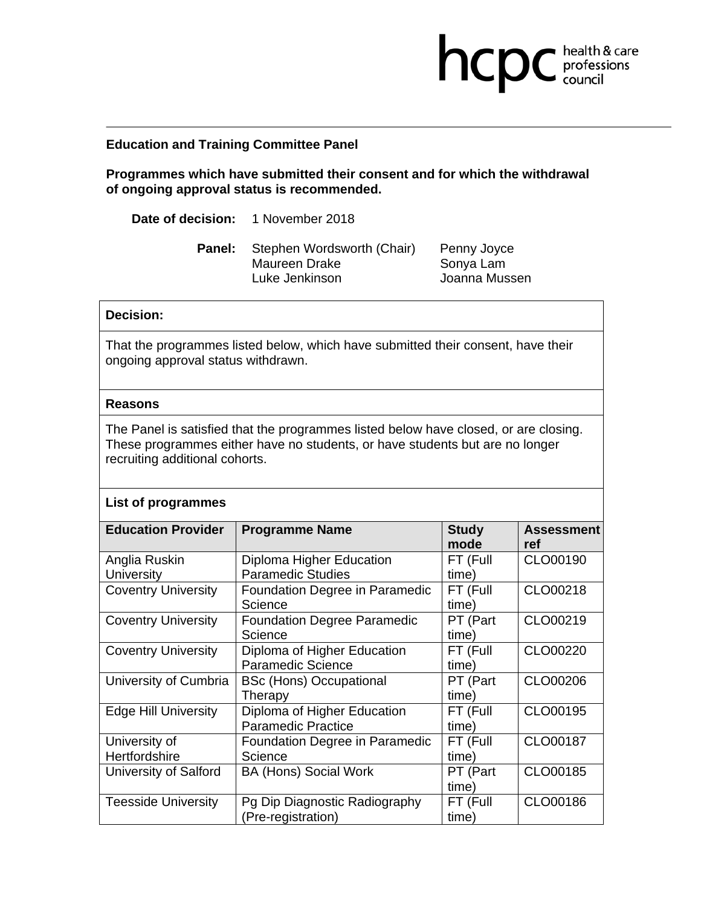## **Education and Training Committee Panel**

**Programmes which have submitted their consent and for which the withdrawal of ongoing approval status is recommended.** 

**Date of decision:** 1 November 2018

**Panel:** Stephen Wordsworth (Chair) Penny Joyce Maureen Drake Sonya Lam<br>Luke Jenkinson Sonya Joanna Mus

Joanna Mussen

**health & care** 

## **Decision:**

That the programmes listed below, which have submitted their consent, have their ongoing approval status withdrawn.

## **Reasons**

The Panel is satisfied that the programmes listed below have closed, or are closing. These programmes either have no students, or have students but are no longer recruiting additional cohorts.

|  | <b>List of programmes</b> |
|--|---------------------------|
|--|---------------------------|

| <b>Education Provider</b>   | <b>Programme Name</b>              | <b>Study</b> | <b>Assessment</b> |
|-----------------------------|------------------------------------|--------------|-------------------|
|                             |                                    | mode         | ref               |
| Anglia Ruskin               | Diploma Higher Education           | FT (Full     | CLO00190          |
| University                  | <b>Paramedic Studies</b>           | time)        |                   |
| <b>Coventry University</b>  | Foundation Degree in Paramedic     | FT (Full     | CLO00218          |
|                             | Science                            | time)        |                   |
| <b>Coventry University</b>  | <b>Foundation Degree Paramedic</b> | PT (Part     | CLO00219          |
|                             | Science                            | time)        |                   |
| <b>Coventry University</b>  | Diploma of Higher Education        | FT (Full     | CLO00220          |
|                             | <b>Paramedic Science</b>           | time)        |                   |
| University of Cumbria       | <b>BSc (Hons) Occupational</b>     | PT (Part     | CLO00206          |
|                             | Therapy                            | time)        |                   |
| <b>Edge Hill University</b> | Diploma of Higher Education        | FT (Full     | CLO00195          |
|                             | <b>Paramedic Practice</b>          | time)        |                   |
| University of               | Foundation Degree in Paramedic     | FT (Full     | CLO00187          |
| Hertfordshire               | Science                            | time)        |                   |
| University of Salford       | <b>BA (Hons) Social Work</b>       | PT (Part     | CLO00185          |
|                             |                                    | time)        |                   |
| <b>Teesside University</b>  | Pg Dip Diagnostic Radiography      | FT (Full     | CLO00186          |
|                             | (Pre-registration)                 | time)        |                   |